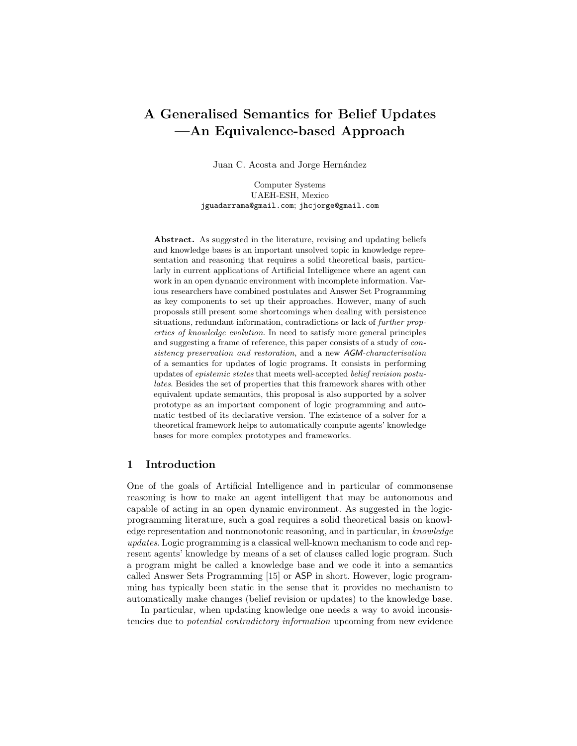# <span id="page-0-0"></span>A Generalised Semantics for Belief Updates —An Equivalence-based Approach

Juan C. Acosta and Jorge Hernández

Computer Systems UAEH-ESH, Mexico jguadarrama@gmail.com; jhcjorge@gmail.com

Abstract. As suggested in the literature, revising and updating beliefs and knowledge bases is an important unsolved topic in knowledge representation and reasoning that requires a solid theoretical basis, particularly in current applications of Artificial Intelligence where an agent can work in an open dynamic environment with incomplete information. Various researchers have combined postulates and Answer Set Programming as key components to set up their approaches. However, many of such proposals still present some shortcomings when dealing with persistence situations, redundant information, contradictions or lack of further properties of knowledge evolution. In need to satisfy more general principles and suggesting a frame of reference, this paper consists of a study of consistency preservation and restoration, and a new AGM-characterisation of a semantics for updates of logic programs. It consists in performing updates of epistemic states that meets well-accepted belief revision postulates. Besides the set of properties that this framework shares with other equivalent update semantics, this proposal is also supported by a solver prototype as an important component of logic programming and automatic testbed of its declarative version. The existence of a solver for a theoretical framework helps to automatically compute agents' knowledge bases for more complex prototypes and frameworks.

#### 1 Introduction

One of the goals of Artificial Intelligence and in particular of commonsense reasoning is how to make an agent intelligent that may be autonomous and capable of acting in an open dynamic environment. As suggested in the logicprogramming literature, such a goal requires a solid theoretical basis on knowledge representation and nonmonotonic reasoning, and in particular, in knowledge updates. Logic programming is a classical well-known mechanism to code and represent agents' knowledge by means of a set of clauses called logic program. Such a program might be called a knowledge base and we code it into a semantics called Answer Sets Programming [\[15\]](#page-11-0) or ASP in short. However, logic programming has typically been static in the sense that it provides no mechanism to automatically make changes (belief revision or updates) to the knowledge base.

In particular, when updating knowledge one needs a way to avoid inconsistencies due to potential contradictory information upcoming from new evidence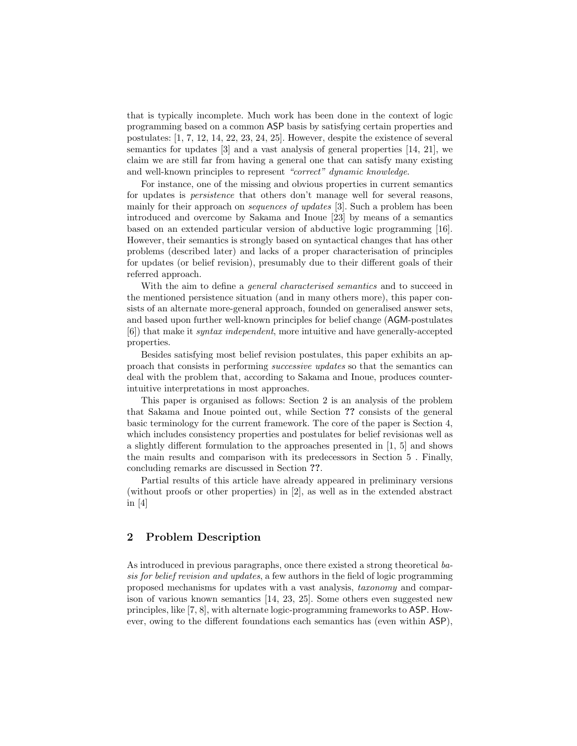<span id="page-1-1"></span>that is typically incomplete. Much work has been done in the context of logic programming based on a common ASP basis by satisfying certain properties and postulates: [\[1,](#page-10-0) [7,](#page-10-1) [12,](#page-10-2) [14,](#page-11-1) [22,](#page-11-2) [23,](#page-11-3) [24,](#page-11-4) [25\]](#page-11-5). However, despite the existence of several semantics for updates [\[3\]](#page-10-3) and a vast analysis of general properties [\[14,](#page-11-1) [21\]](#page-11-6), we claim we are still far from having a general one that can satisfy many existing and well-known principles to represent "correct" dynamic knowledge.

For instance, one of the missing and obvious properties in current semantics for updates is persistence that others don't manage well for several reasons, mainly for their approach on *sequences of updates* [\[3\]](#page-10-3). Such a problem has been introduced and overcome by Sakama and Inoue [\[23\]](#page-11-3) by means of a semantics based on an extended particular version of abductive logic programming [\[16\]](#page-11-7). However, their semantics is strongly based on syntactical changes that has other problems (described later) and lacks of a proper characterisation of principles for updates (or belief revision), presumably due to their different goals of their referred approach.

With the aim to define a *general characterised semantics* and to succeed in the mentioned persistence situation (and in many others more), this paper consists of an alternate more-general approach, founded on generalised answer sets, and based upon further well-known principles for belief change (AGM-postulates [\[6\]](#page-10-4)) that make it syntax independent, more intuitive and have generally-accepted properties.

Besides satisfying most belief revision postulates, this paper exhibits an approach that consists in performing successive updates so that the semantics can deal with the problem that, according to [Sakama and Inoue,](#page-11-3) produces counterintuitive interpretations in most approaches.

This paper is organised as follows: Section [2](#page-1-0) is an analysis of the problem that [Sakama and Inoue](#page-11-3) pointed out, while Section ?? consists of the general basic terminology for the current framework. The core of the paper is Section [4,](#page-5-0) which includes consistency properties and postulates for belief revisionas well as a slightly different formulation to the approaches presented in [\[1,](#page-10-0) [5\]](#page-10-5) and shows the main results and comparison with its predecessors in Section [5](#page-6-0) . Finally, concluding remarks are discussed in Section ??.

Partial results of this article have already appeared in preliminary versions (without proofs or other properties) in [\[2\]](#page-10-6), as well as in the extended abstract in [\[4\]](#page-10-7)

## <span id="page-1-0"></span>2 Problem Description

As introduced in previous paragraphs, once there existed a strong theoretical basis for belief revision and updates, a few authors in the field of logic programming proposed mechanisms for updates with a vast analysis, taxonomy and comparison of various known semantics [\[14,](#page-11-1) [23,](#page-11-3) [25\]](#page-11-5). Some others even suggested new principles, like [\[7,](#page-10-1) [8\]](#page-10-8), with alternate logic-programming frameworks to ASP. However, owing to the different foundations each semantics has (even within ASP),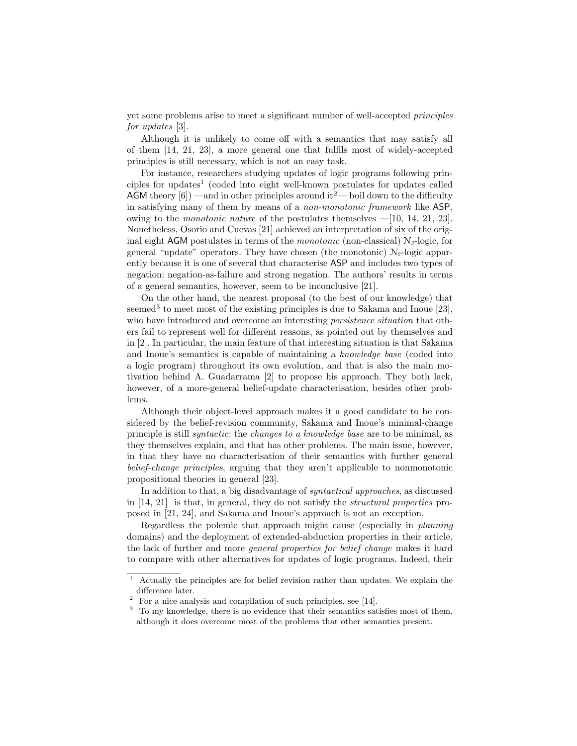<span id="page-2-3"></span>yet some problems arise to meet a significant number of well-accepted principles for updates [\[3\]](#page-10-3).

Although it is unlikely to come off with a semantics that may satisfy all of them [\[14,](#page-11-1) [21,](#page-11-6) [23\]](#page-11-3), a more general one that fulfils most of widely-accepted principles is still necessary, which is not an easy task.

For instance, researchers studying updates of logic programs following prin-ciples for updates<sup>[1](#page-2-0)</sup> (coded into eight well-known postulates for updates called AGM theory  $[6]$  —and in other principles around it<sup>[2](#page-2-1)</sup>— boil down to the difficulty in satisfying many of them by means of a non-monotonic framework like ASP, owing to the *monotonic nature* of the postulates themselves  $-[10, 14, 21, 23]$  $-[10, 14, 21, 23]$  $-[10, 14, 21, 23]$  $-[10, 14, 21, 23]$  $-[10, 14, 21, 23]$  $-[10, 14, 21, 23]$  $-[10, 14, 21, 23]$  $-[10, 14, 21, 23]$ . Nonetheless, Osorio and Cuevas [\[21\]](#page-11-6) achieved an interpretation of six of the original eight AGM postulates in terms of the *monotonic* (non-classical)  $N<sub>2</sub>$ -logic, for general "update" operators. They have chosen (the monotonic)  $N<sub>2</sub>$ -logic apparently because it is one of several that characterise ASP and includes two types of negation: negation-as-failure and strong negation. The authors' results in terms of a general semantics, however, seem to be inconclusive [\[21\]](#page-11-6).

On the other hand, the nearest proposal (to the best of our knowledge) that seemed<sup>[3](#page-2-2)</sup> to meet most of the existing principles is due to Sakama and Inoue [\[23\]](#page-11-3), who have introduced and overcome an interesting *persistence situation* that others fail to represent well for different reasons, as pointed out by themselves and in [\[2\]](#page-10-6). In particular, the main feature of that interesting situation is that [Sakama](#page-11-3) [and Inoue'](#page-11-3)s semantics is capable of maintaining a knowledge base (coded into a logic program) throughout its own evolution, and that is also the main motivation behind A. Guadarrama [\[2\]](#page-10-6) to propose his approach. They both lack, however, of a more-general belief-update characterisation, besides other problems.

Although their object-level approach makes it a good candidate to be considered by the belief-revision community, [Sakama and Inoue'](#page-11-3)s minimal-change principle is still syntactic: the changes to a knowledge base are to be minimal, as they themselves explain, and that has other problems. The main issue, however, in that they have no characterisation of their semantics with further general belief-change principles, arguing that they aren't applicable to nonmonotonic propositional theories in general [\[23\]](#page-11-3).

In addition to that, a big disadvantage of syntactical approaches, as discussed in [\[14,](#page-11-1) [21\]](#page-11-6) is that, in general, they do not satisfy the structural properties proposed in [\[21,](#page-11-6) [24\]](#page-11-4), and [Sakama and Inoue'](#page-11-3)s approach is not an exception.

Regardless the polemic that approach might cause (especially in planning domains) and the deployment of extended-abduction properties in their article, the lack of further and more general properties for belief change makes it hard to compare with other alternatives for updates of logic programs. Indeed, their

<span id="page-2-0"></span> $1$  Actually the principles are for belief revision rather than updates. We explain the difference later.

<span id="page-2-1"></span><sup>&</sup>lt;sup>2</sup> For a nice analysis and compilation of such principles, see [\[14\]](#page-11-1).

<span id="page-2-2"></span><sup>&</sup>lt;sup>3</sup> To my knowledge, there is no evidence that their semantics satisfies most of them, although it does overcome most of the problems that other semantics present.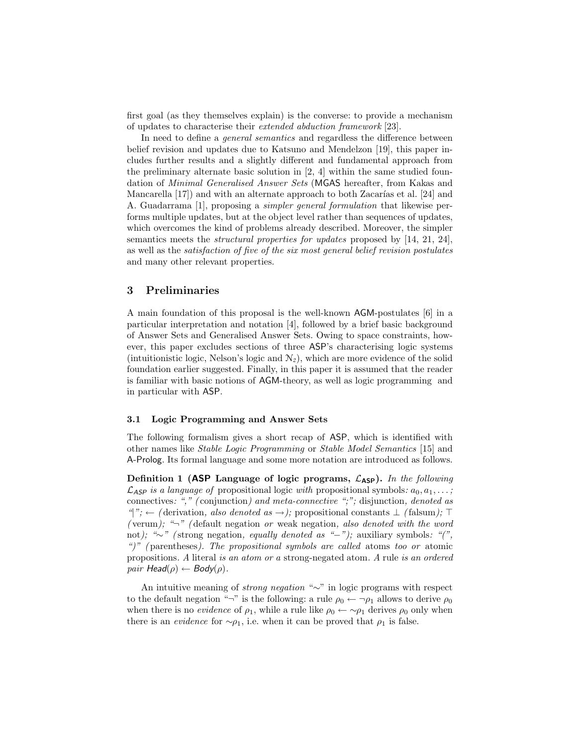<span id="page-3-1"></span>first goal (as they themselves explain) is the converse: to provide a mechanism of updates to characterise their extended abduction framework [\[23\]](#page-11-3).

In need to define a *general semantics* and regardless the difference between belief revision and updates due to Katsuno and Mendelzon [\[19\]](#page-11-8), this paper includes further results and a slightly different and fundamental approach from the preliminary alternate basic solution in [\[2,](#page-10-6) [4\]](#page-10-7) within the same studied foundation of Minimal Generalised Answer Sets (MGAS hereafter, from Kakas and Mancarella  $[17]$  and with an alternate approach to both Zacarías et al.  $[24]$  and A. Guadarrama [\[1\]](#page-10-0), proposing a simpler general formulation that likewise performs multiple updates, but at the object level rather than sequences of updates, which overcomes the kind of problems already described. Moreover, the simpler semantics meets the structural properties for updates proposed by [\[14,](#page-11-1) [21,](#page-11-6) [24\]](#page-11-4), as well as the satisfaction of five of the six most general belief revision postulates and many other relevant properties.

### 3 Preliminaries

A main foundation of this proposal is the well-known AGM-postulates [\[6\]](#page-10-4) in a particular interpretation and notation [\[4\]](#page-10-7), followed by a brief basic background of Answer Sets and Generalised Answer Sets. Owing to space constraints, however, this paper excludes sections of three ASP's characterising logic systems (intuitionistic logic, Nelson's logic and  $N_2$ ), which are more evidence of the solid foundation earlier suggested. Finally, in this paper it is assumed that the reader is familiar with basic notions of AGM-theory, as well as logic programming and in particular with ASP.

#### 3.1 Logic Programming and Answer Sets

The following formalism gives a short recap of ASP, which is identified with other names like Stable Logic Programming or Stable Model Semantics [\[15\]](#page-11-0) and A-Prolog. Its formal language and some more notation are introduced as follows.

<span id="page-3-0"></span>Definition 1 (ASP Language of logic programs,  $\mathcal{L}_{ASP}$ ). In the following  $\mathcal{L}_{\mathsf{ASP}}$  is a language of propositional logic with propositional symbols:  $a_0, a_1, \ldots;$ connectives: "," (conjunction) and meta-connective ";"; disjunction, denoted as  $"\rangle"$ ; ← (derivation, also denoted as →); propositional constants  $\bot$  (falsum);  $\top$ (verum); " $\neg$ " (default negation or weak negation, also denoted with the word not); "∼" ( strong negation, equally denoted as "−"); auxiliary symbols: "(", ")" ( parentheses). The propositional symbols are called atoms too or atomic propositions. A literal is an atom or a strong-negated atom. A rule is an ordered pair Head( $\rho$ )  $\leftarrow$  Body( $\rho$ ).

An intuitive meaning of strong negation "∼" in logic programs with respect to the default negation "¬" is the following: a rule  $\rho_0 \leftarrow \neg \rho_1$  allows to derive  $\rho_0$ when there is no *evidence* of  $\rho_1$ , while a rule like  $\rho_0 \leftarrow \sim \rho_1$  derives  $\rho_0$  only when there is an *evidence* for  $\sim \rho_1$ , i.e. when it can be proved that  $\rho_1$  is false.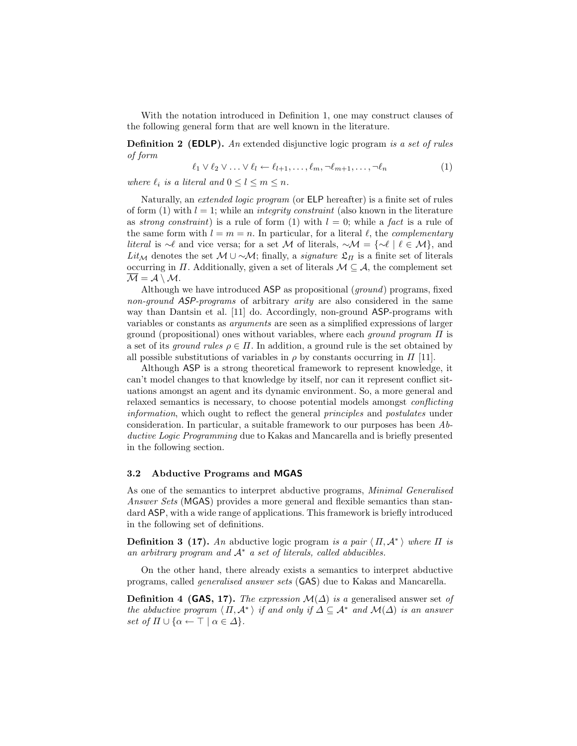<span id="page-4-1"></span>With the notation introduced in Definition [1,](#page-3-0) one may construct clauses of the following general form that are well known in the literature.

**Definition 2 (EDLP).** An extended disjunctive logic program is a set of rules of form

<span id="page-4-0"></span>
$$
\ell_1 \vee \ell_2 \vee \ldots \vee \ell_l \leftarrow \ell_{l+1}, \ldots, \ell_m, \neg \ell_{m+1}, \ldots, \neg \ell_n \tag{1}
$$

where  $\ell_i$  is a literal and  $0 \leq l \leq m \leq n$ .

Naturally, an extended logic program (or ELP hereafter) is a finite set of rules of form [\(1\)](#page-4-0) with  $l = 1$ ; while an *integrity constraint* (also known in the literature as strong constraint) is a rule of form [\(1\)](#page-4-0) with  $l = 0$ ; while a fact is a rule of the same form with  $l = m = n$ . In particular, for a literal  $\ell$ , the *complementary literal* is ∼ $\ell$  and vice versa; for a set M of literals,  $\sim M = \{ \sim \ell \mid \ell \in M \}$ , and Lit<sub>M</sub> denotes the set  $M \cup \sim M$ ; finally, a *signature*  $\mathfrak{L}_\Pi$  is a finite set of literals occurring in  $\Pi$ . Additionally, given a set of literals  $\mathcal{M} \subseteq \mathcal{A}$ , the complement set  $\overline{\mathcal{M}} = \mathcal{A} \setminus \mathcal{M}.$ 

Although we have introduced ASP as propositional (ground) programs, fixed non-ground ASP-programs of arbitrary arity are also considered in the same way than Dantsin et al. [\[11\]](#page-10-10) do. Accordingly, non-ground ASP-programs with variables or constants as arguments are seen as a simplified expressions of larger ground (propositional) ones without variables, where each *ground program*  $\Pi$  is a set of its *ground rules*  $\rho \in \Pi$ . In addition, a ground rule is the set obtained by all possible substitutions of variables in  $\rho$  by constants occurring in  $\Pi$  [\[11\]](#page-10-10).

Although ASP is a strong theoretical framework to represent knowledge, it can't model changes to that knowledge by itself, nor can it represent conflict situations amongst an agent and its dynamic environment. So, a more general and relaxed semantics is necessary, to choose potential models amongst conflicting information, which ought to reflect the general principles and postulates under consideration. In particular, a suitable framework to our purposes has been Abductive Logic Programming due to [Kakas and Mancarella](#page-11-9) and is briefly presented in the following section.

#### 3.2 Abductive Programs and MGAS

As one of the semantics to interpret abductive programs, Minimal Generalised Answer Sets (MGAS) provides a more general and flexible semantics than standard ASP, with a wide range of applications. This framework is briefly introduced in the following set of definitions.

**Definition 3 [\(17\)](#page-11-9).** An abductive logic program is a pair  $\langle \Pi, \mathcal{A}^* \rangle$  where  $\Pi$  is an arbitrary program and  $A^*$  a set of literals, called abducibles.

On the other hand, there already exists a semantics to interpret abductive programs, called generalised answer sets (GAS) due to [Kakas and Mancarella.](#page-11-9)

**Definition 4 (GAS, [17\)](#page-11-9).** The expression  $\mathcal{M}(\Delta)$  is a generalised answer set of the abductive program  $\langle \Pi, \mathcal{A}^* \rangle$  if and only if  $\Delta \subseteq \mathcal{A}^*$  and  $\mathcal{M}(\Delta)$  is an answer set of  $\Pi \cup {\alpha \leftarrow \top | \alpha \in \Delta}.$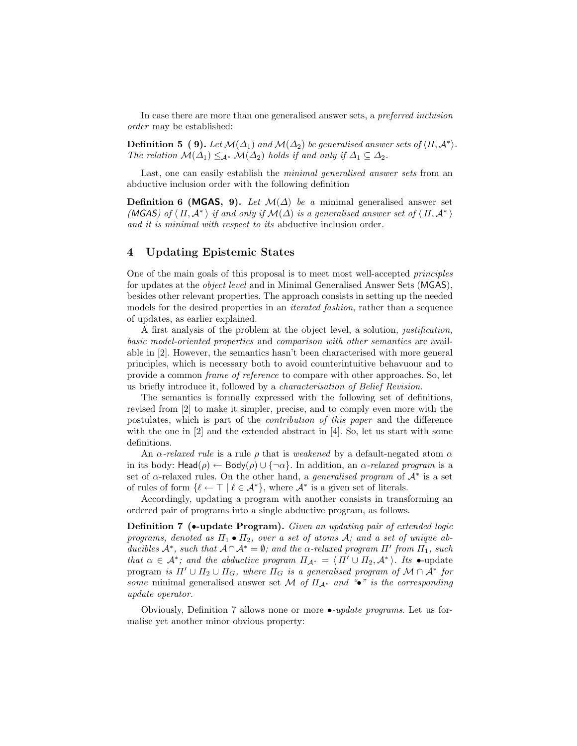<span id="page-5-2"></span>In case there are more than one generalised answer sets, a preferred inclusion order may be established:

**Definition 5** ([9\)](#page-10-11). Let  $\mathcal{M}(\Delta_1)$  and  $\mathcal{M}(\Delta_2)$  be generalised answer sets of  $\langle \Pi, \mathcal{A}^* \rangle$ . The relation  $\mathcal{M}(\Delta_1) \leq_{\mathcal{A}^*} \mathcal{M}(\Delta_2)$  holds if and only if  $\Delta_1 \subseteq \Delta_2$ .

Last, one can easily establish the *minimal generalised answer sets* from an abductive inclusion order with the following definition

**Definition 6 (MGAS, [9\)](#page-10-11).** Let  $\mathcal{M}(\Delta)$  be a minimal generalised answer set (MGAS) of  $\langle \Pi, \mathcal{A}^* \rangle$  if and only if  $\mathcal{M}(\Delta)$  is a generalised answer set of  $\langle \Pi, \mathcal{A}^* \rangle$ and it is minimal with respect to its abductive inclusion order.

### <span id="page-5-0"></span>4 Updating Epistemic States

One of the main goals of this proposal is to meet most well-accepted principles for updates at the object level and in Minimal Generalised Answer Sets (MGAS), besides other relevant properties. The approach consists in setting up the needed models for the desired properties in an *iterated fashion*, rather than a sequence of updates, as earlier explained.

A first analysis of the problem at the object level, a solution, justification, basic model-oriented properties and comparison with other semantics are available in [\[2\]](#page-10-6). However, the semantics hasn't been characterised with more general principles, which is necessary both to avoid counterintuitive behavuour and to provide a common frame of reference to compare with other approaches. So, let us briefly introduce it, followed by a characterisation of Belief Revision.

The semantics is formally expressed with the following set of definitions, revised from [\[2\]](#page-10-6) to make it simpler, precise, and to comply even more with the postulates, which is part of the contribution of this paper and the difference with the one in [\[2\]](#page-10-6) and the extended abstract in [\[4\]](#page-10-7). So, let us start with some definitions.

An  $\alpha$ -relaxed rule is a rule  $\rho$  that is weakened by a default-negated atom  $\alpha$ in its body:  $\text{Head}(\rho) \leftarrow \text{Body}(\rho) \cup \{\neg \alpha\}$ . In addition, an  $\alpha$ -relaxed program is a set of  $\alpha$ -relaxed rules. On the other hand, a *generalised program* of  $\mathcal{A}^*$  is a set of rules of form  $\{\ell \leftarrow \top \mid \ell \in \mathcal{A}^*\}$ , where  $\mathcal{A}^*$  is a given set of literals.

<span id="page-5-1"></span>Accordingly, updating a program with another consists in transforming an ordered pair of programs into a single abductive program, as follows.

Definition 7 (•-update Program). Given an updating pair of extended logic programs, denoted as  $\Pi_1 \bullet \Pi_2$ , over a set of atoms A; and a set of unique abducibles  $\mathcal{A}^*$ , such that  $A \cap \mathcal{A}^* = \emptyset$ ; and the  $\alpha$ -relaxed program  $\Pi'$  from  $\Pi_1$ , such that  $\alpha \in \mathcal{A}^*$ ; and the abductive program  $\Pi_{\mathcal{A}^*} = \langle \Pi' \cup \Pi_2, \mathcal{A}^* \rangle$ . Its •-update program is  $\Pi' \cup \Pi_2 \cup \Pi_G$ , where  $\Pi_G$  is a generalised program of  $\mathcal{M} \cap \mathcal{A}^*$  for some minimal generalised answer set M of  $\Pi_{A^*}$  and "•" is the corresponding update operator.

Obviously, Definition [7](#page-5-1) allows none or more •-update programs. Let us formalise yet another minor obvious property: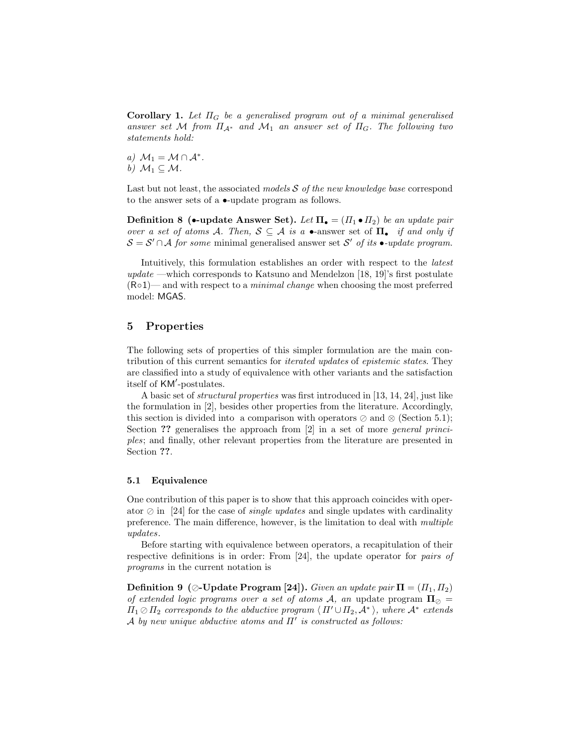<span id="page-6-2"></span>**Corollary 1.** Let  $\Pi_G$  be a generalised program out of a minimal generalised answer set M from  $\Pi_{\mathcal{A}^*}$  and  $\mathcal{M}_1$  an answer set of  $\Pi_G$ . The following two statements hold:

a)  $M_1 = M \cap A^*$ . b)  $M_1 \subseteq M$ .

Last but not least, the associated models  $\mathcal S$  of the new knowledge base correspond to the answer sets of a •-update program as follows.

**Definition 8** (•-update Answer Set). Let  $\Pi_{\bullet} = (\Pi_1 \bullet \Pi_2)$  be an update pair over a set of atoms A. Then,  $S \subseteq A$  is a •-answer set of  $\Pi_{\bullet}$  if and only if  $S = S' \cap A$  for some minimal generalised answer set S' of its •-update program.

Intuitively, this formulation establishes an order with respect to the latest update —which corresponds to Katsuno and Mendelzon [\[18,](#page-11-10) [19\]](#page-11-8)'s first postulate  $(R \circ 1)$ — and with respect to a *minimal change* when choosing the most preferred model: MGAS.

## <span id="page-6-0"></span>5 Properties

The following sets of properties of this simpler formulation are the main contribution of this current semantics for iterated updates of epistemic states. They are classified into a study of equivalence with other variants and the satisfaction itself of KM'-postulates.

A basic set of structural properties was first introduced in [\[13,](#page-10-12) [14,](#page-11-1) [24\]](#page-11-4), just like the formulation in [\[2\]](#page-10-6), besides other properties from the literature. Accordingly, this section is divided into a comparison with operators  $\oslash$  and  $\oslash$  (Section [5.1\)](#page-6-1); Section ?? generalises the approach from [\[2\]](#page-10-6) in a set of more *general princi*ples; and finally, other relevant properties from the literature are presented in Section ??.

#### <span id="page-6-1"></span>5.1 Equivalence

One contribution of this paper is to show that this approach coincides with operator  $\oslash$  in [\[24\]](#page-11-4) for the case of *single updates* and single updates with cardinality preference. The main difference, however, is the limitation to deal with multiple updates.

Before starting with equivalence between operators, a recapitulation of their respective definitions is in order: From [\[24\]](#page-11-4), the update operator for pairs of programs in the current notation is

**Definition 9** ( $\oslash$ -Update Program [\[24\]](#page-11-4)). Given an update pair  $\Pi = (I_1, I_2)$ of extended logic programs over a set of atoms A, an update program  $\Pi_{\oslash} =$  $\Pi_1 \oslash \Pi_2$  corresponds to the abductive program  $\langle \Pi' \cup \Pi_2, \mathcal{A}^* \rangle$ , where  $\mathcal{A}^*$  extends A by new unique abductive atoms and  $\Pi'$  is constructed as follows: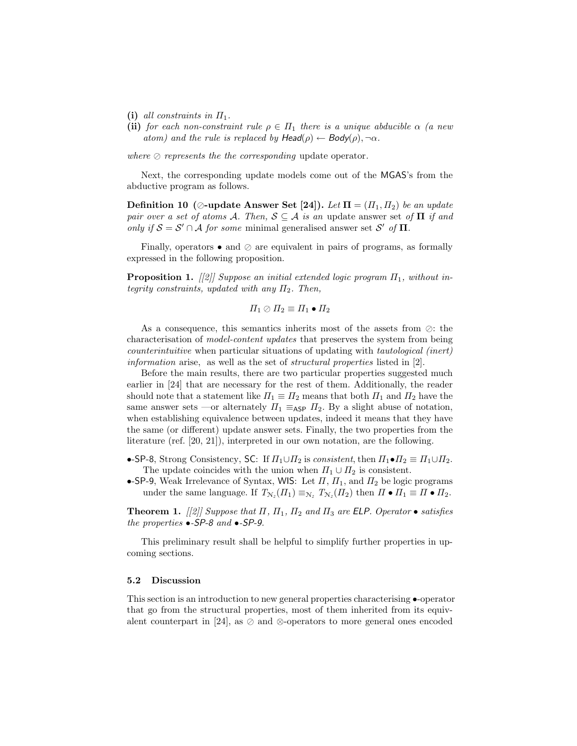- <span id="page-7-0"></span>(i) all constraints in  $\Pi_1$ .
- (ii) for each non-constraint rule  $\rho \in \Pi_1$  there is a unique abducible  $\alpha$  (a new atom) and the rule is replaced by  $Head(\rho) \leftarrow Body(\rho), \neg \alpha$ .

where  $\oslash$  represents the the corresponding update operator.

Next, the corresponding update models come out of the MGAS's from the abductive program as follows.

Definition 10 ( $\oslash$ -update Answer Set [\[24\]](#page-11-4)). Let  $\Pi = (I_1, I_2)$  be an update pair over a set of atoms A. Then,  $S \subseteq A$  is an update answer set of  $\Pi$  if and only if  $S = S' \cap A$  for some minimal generalised answer set S' of  $\Pi$ .

Finally, operators  $\bullet$  and  $\oslash$  are equivalent in pairs of programs, as formally expressed in the following proposition.

**Proposition 1.** [[\[2\]](#page-10-6)] Suppose an initial extended logic program  $\Pi_1$ , without integrity constraints, updated with any  $\Pi_2$ . Then,

 $\Pi_1 \oslash \Pi_2 \equiv \Pi_1 \bullet \Pi_2$ 

As a consequence, this semantics inherits most of the assets from  $\oslash$ : the characterisation of model-content updates that preserves the system from being counterintuitive when particular situations of updating with tautological (inert) information arise, as well as the set of structural properties listed in [\[2\]](#page-10-6).

Before the main results, there are two particular properties suggested much earlier in [\[24\]](#page-11-4) that are necessary for the rest of them. Additionally, the reader should note that a statement like  $\Pi_1 \equiv \Pi_2$  means that both  $\Pi_1$  and  $\Pi_2$  have the same answer sets —or alternately  $\Pi_1 \equiv_{\sf ASP} \Pi_2$ . By a slight abuse of notation, when establishing equivalence between updates, indeed it means that they have the same (or different) update answer sets. Finally, the two properties from the literature (ref. [\[20,](#page-11-11) [21\]](#page-11-6)), interpreted in our own notation, are the following.

- •-SP-8, Strong Consistency, SC: If  $\Pi_1 \cup \Pi_2$  is consistent, then  $\Pi_1 \bullet \Pi_2 \equiv \Pi_1 \cup \Pi_2$ . The update coincides with the union when  $\Pi_1 \cup \Pi_2$  is consistent.
- •-SP-9, Weak Irrelevance of Syntax, WIS: Let  $\Pi$ ,  $\Pi_1$ , and  $\Pi_2$  be logic programs under the same language. If  $T_{N_2}(H_1) \equiv_{N_2} T_{N_2}(H_2)$  then  $\Pi \bullet \Pi_1 \equiv \Pi \bullet \Pi_2$ .

**Theorem 1.** [[\[2\]](#page-10-6)] Suppose that  $\Pi$ ,  $\Pi_1$ ,  $\Pi_2$  and  $\Pi_3$  are ELP. Operator  $\bullet$  satisfies the properties •-SP-8 and •-SP-9.

This preliminary result shall be helpful to simplify further properties in upcoming sections.

#### 5.2 Discussion

This section is an introduction to new general properties characterising •-operator that go from the structural properties, most of them inherited from its equiv-alent counterpart in [\[24\]](#page-11-4), as  $\oslash$  and  $\oslash$ -operators to more general ones encoded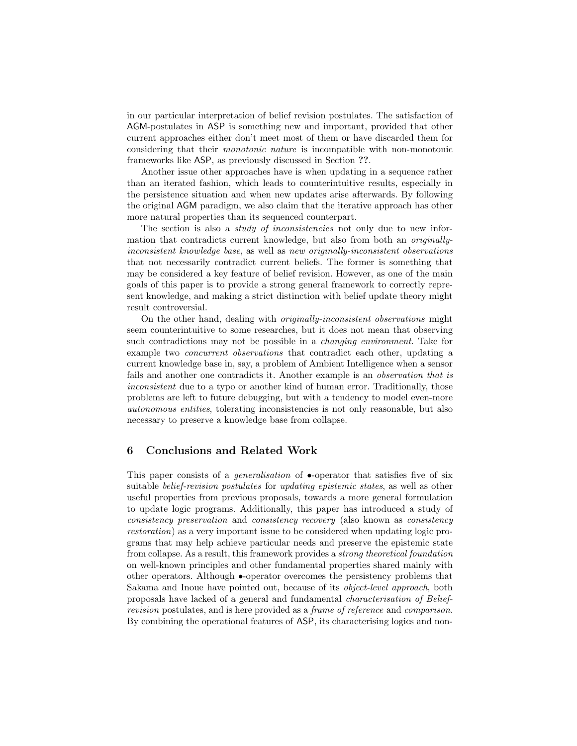<span id="page-8-0"></span>in our particular interpretation of belief revision postulates. The satisfaction of AGM-postulates in ASP is something new and important, provided that other current approaches either don't meet most of them or have discarded them for considering that their monotonic nature is incompatible with non-monotonic frameworks like ASP, as previously discussed in Section ??.

Another issue other approaches have is when updating in a sequence rather than an iterated fashion, which leads to counterintuitive results, especially in the persistence situation and when new updates arise afterwards. By following the original AGM paradigm, we also claim that the iterative approach has other more natural properties than its sequenced counterpart.

The section is also a *study of inconsistencies* not only due to new information that contradicts current knowledge, but also from both an originallyinconsistent knowledge base, as well as new originally-inconsistent observations that not necessarily contradict current beliefs. The former is something that may be considered a key feature of belief revision. However, as one of the main goals of this paper is to provide a strong general framework to correctly represent knowledge, and making a strict distinction with belief update theory might result controversial.

On the other hand, dealing with originally-inconsistent observations might seem counterintuitive to some researches, but it does not mean that observing such contradictions may not be possible in a changing environment. Take for example two concurrent observations that contradict each other, updating a current knowledge base in, say, a problem of Ambient Intelligence when a sensor fails and another one contradicts it. Another example is an observation that is inconsistent due to a typo or another kind of human error. Traditionally, those problems are left to future debugging, but with a tendency to model even-more autonomous entities, tolerating inconsistencies is not only reasonable, but also necessary to preserve a knowledge base from collapse.

# 6 Conclusions and Related Work

This paper consists of a *generalisation* of  $\bullet$ -operator that satisfies five of six suitable *belief-revision postulates* for *updating epistemic states*, as well as other useful properties from previous proposals, towards a more general formulation to update logic programs. Additionally, this paper has introduced a study of consistency preservation and consistency recovery (also known as consistency restoration) as a very important issue to be considered when updating logic programs that may help achieve particular needs and preserve the epistemic state from collapse. As a result, this framework provides a strong theoretical foundation on well-known principles and other fundamental properties shared mainly with other operators. Although •-operator overcomes the persistency problems that [Sakama and Inoue](#page-11-3) have pointed out, because of its object-level approach, both proposals have lacked of a general and fundamental characterisation of Beliefrevision postulates, and is here provided as a frame of reference and comparison. By combining the operational features of ASP, its characterising logics and non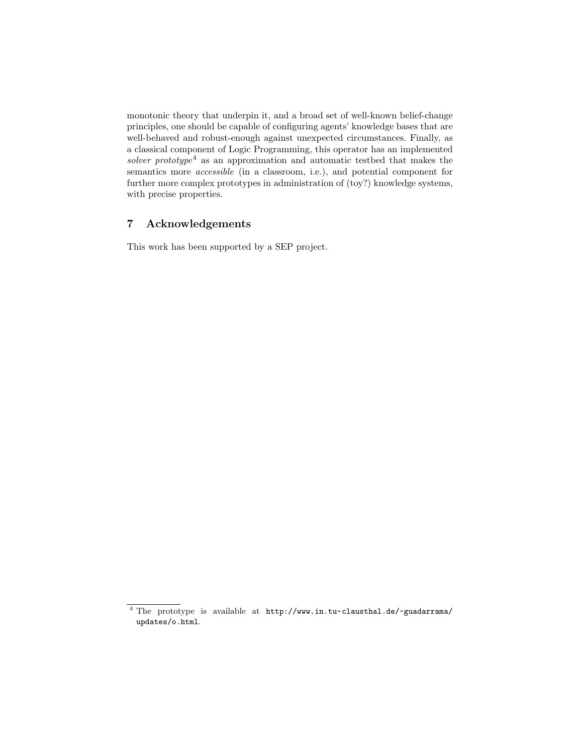monotonic theory that underpin it, and a broad set of well-known belief-change principles, one should be capable of configuring agents' knowledge bases that are well-behaved and robust-enough against unexpected circumstances. Finally, as a classical component of Logic Programming, this operator has an implemented solver prototype<sup>[4](#page-9-0)</sup> as an approximation and automatic testbed that makes the semantics more *accessible* (in a classroom, i.e.), and potential component for further more complex prototypes in administration of (toy?) knowledge systems, with precise properties.

# 7 Acknowledgements

This work has been supported by a SEP project.

<span id="page-9-0"></span><sup>4</sup> The prototype is available at [http://www.in.tu-clausthal.de/~guadarrama/](http://www.in.tu-clausthal.de/~guadarrama/updates/o.html) [updates/o.html](http://www.in.tu-clausthal.de/~guadarrama/updates/o.html).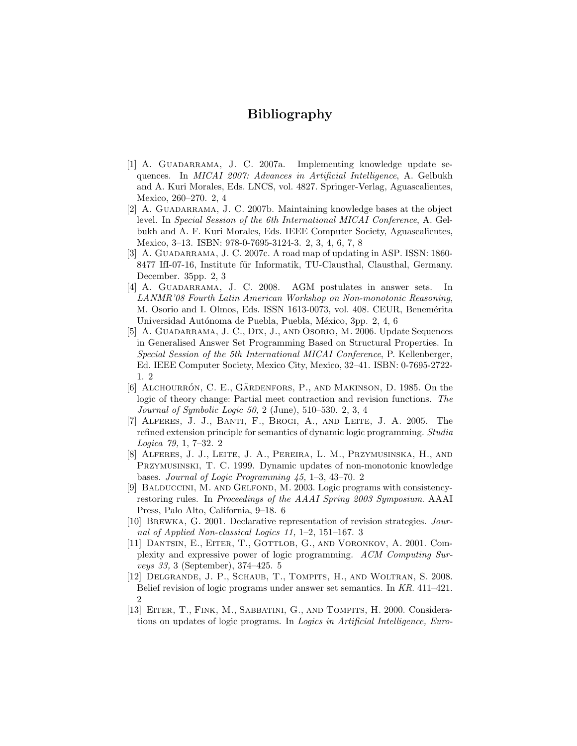# Bibliography

- <span id="page-10-0"></span>[1] A. GUADARRAMA, J. C. 2007a. Implementing knowledge update sequences. In MICAI 2007: Advances in Artificial Intelligence, A. Gelbukh and A. Kuri Morales, Eds. LNCS, vol. 4827. Springer-Verlag, Aguascalientes, Mexico, 260–270. [2,](#page-1-1) [4](#page-3-1)
- <span id="page-10-6"></span>[2] A. GUADARRAMA, J. C. 2007b. Maintaining knowledge bases at the object level. In Special Session of the 6th International MICAI Conference, A. Gelbukh and A. F. Kuri Morales, Eds. IEEE Computer Society, Aguascalientes, Mexico, 3–13. ISBN: 978-0-7695-3124-3. [2,](#page-1-1) [3,](#page-2-3) [4,](#page-3-1) [6,](#page-5-2) [7,](#page-6-2) [8](#page-7-0)
- <span id="page-10-3"></span>[3] A. GUADARRAMA, J. C. 2007c. A road map of updating in ASP. ISSN: 1860-8477 IfI-07-16, Institute für Informatik, TU-Clausthal, Clausthal, Germany. December. 35pp. [2,](#page-1-1) [3](#page-2-3)
- <span id="page-10-7"></span>[4] A. Guadarrama, J. C. 2008. AGM postulates in answer sets. In LANMR'08 Fourth Latin American Workshop on Non-monotonic Reasoning, M. Osorio and I. Olmos, Eds. ISSN 1613-0073, vol. 408. CEUR, Benemérita Universidad Autónoma de Puebla, Puebla, México, 3pp. [2,](#page-1-1) [4,](#page-3-1) [6](#page-5-2)
- <span id="page-10-5"></span>[5] A. Guadarrama, J. C., Dix, J., and Osorio, M. 2006. Update Sequences in Generalised Answer Set Programming Based on Structural Properties. In Special Session of the 5th International MICAI Conference, P. Kellenberger, Ed. IEEE Computer Society, Mexico City, Mexico, 32–41. ISBN: 0-7695-2722- 1. [2](#page-1-1)
- <span id="page-10-4"></span>[6] ALCHOURRÓN, C. E., GÄRDENFORS, P., AND MAKINSON, D. 1985. On the logic of theory change: Partial meet contraction and revision functions. The Journal of Symbolic Logic 50, 2 (June), 510–530. [2,](#page-1-1) [3,](#page-2-3) [4](#page-3-1)
- <span id="page-10-1"></span>[7] Alferes, J. J., Banti, F., Brogi, A., and Leite, J. A. 2005. The refined extension principle for semantics of dynamic logic programming. Studia Logica 79, 1, 7–32. [2](#page-1-1)
- <span id="page-10-8"></span>[8] Alferes, J. J., Leite, J. A., Pereira, L. M., Przymusinska, H., and Przymusinski, T. C. 1999. Dynamic updates of non-monotonic knowledge bases. Journal of Logic Programming 45, 1–3, 43–70. [2](#page-1-1)
- <span id="page-10-11"></span>[9] Balduccini, M. and Gelfond, M. 2003. Logic programs with consistencyrestoring rules. In Proceedings of the AAAI Spring 2003 Symposium. AAAI Press, Palo Alto, California, 9–18. [6](#page-5-2)
- <span id="page-10-9"></span>[10] Brewka, G. 2001. Declarative representation of revision strategies. Journal of Applied Non-classical Logics 11, 1–2, 151–167. [3](#page-2-3)
- <span id="page-10-10"></span>[11] DANTSIN, E., EITER, T., GOTTLOB, G., AND VORONKOV, A. 2001. Complexity and expressive power of logic programming. ACM Computing Surveys 33, 3 (September), 374–425. [5](#page-4-1)
- <span id="page-10-2"></span>[12] Delgrande, J. P., Schaub, T., Tompits, H., and Woltran, S. 2008. Belief revision of logic programs under answer set semantics. In KR. 411–421.  $\mathfrak{D}$
- <span id="page-10-12"></span>[13] EITER, T., FINK, M., SABBATINI, G., AND TOMPITS, H. 2000. Considerations on updates of logic programs. In Logics in Artificial Intelligence, Euro-